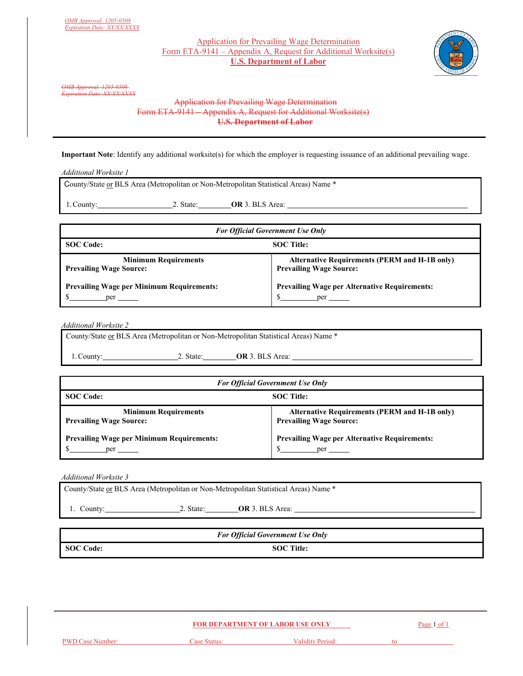## Application for Prevailing Wage Determination Form ETA-9141 – Appendix A, Request for Additional Worksite(s) **U.S. Department of Labor**



*OMB Approval: 1205-0508 Expiration Date: XX/XX/XXXX* 

## Application for Prevailing Wage Determination Form ETA-9141 – Appendix A, Request for Additional Worksite(s) **U.S. Department of Labor**

**Important Note**: Identify any additional worksite(s) for which the employer is requesting issuance of an additional prevailing wage.

*Additional Worksite 1* 

County/State or BLS Area (Metropolitan or Non-Metropolitan Statistical Areas) Name \*

1. County: 2. State: **OR** 3. BLS Area:

| <b>For Official Government Use Only</b>          |                                                      |
|--------------------------------------------------|------------------------------------------------------|
| <b>SOC</b> Code:                                 | <b>SOC</b> Title:                                    |
| <b>Minimum Requirements</b>                      | <b>Alternative Requirements (PERM and H-1B only)</b> |
| <b>Prevailing Wage Source:</b>                   | <b>Prevailing Wage Source:</b>                       |
| <b>Prevailing Wage per Minimum Requirements:</b> | <b>Prevailing Wage per Alternative Requirements:</b> |
| ner                                              | $per \_\_$                                           |

*Additional Worksite 2* 

County/State or BLS Area (Metropolitan or Non-Metropolitan Statistical Areas) Name \*

1. County: 2. State: **OR** 3. BLS Area:

|                                                               | <b>For Official Government Use Only</b>                                                |
|---------------------------------------------------------------|----------------------------------------------------------------------------------------|
| <b>SOC</b> Code:<br><b>SOC</b> Title:                         |                                                                                        |
| <b>Minimum Requirements</b><br><b>Prevailing Wage Source:</b> | <b>Alternative Requirements (PERM and H-1B only)</b><br><b>Prevailing Wage Source:</b> |
| <b>Prevailing Wage per Minimum Requirements:</b><br>per       | <b>Prevailing Wage per Alternative Requirements:</b>                                   |

*Additional Worksite 3* 

|            |           | County/State or BLS Area (Metropolitan or Non-Metropolitan Statistical Areas) Name * |  |
|------------|-----------|--------------------------------------------------------------------------------------|--|
| 1. County: | 2. State: | <b>OR</b> 3. BLS Area:                                                               |  |
|            |           |                                                                                      |  |

|           | <b>For Official Government Use Only</b> |  |
|-----------|-----------------------------------------|--|
| SOC Code: | <b>SOC</b> Title:                       |  |

|                         | <b>FOR DEPARTMENT OF LABOR USE ONLY</b> |                  | Page 1 of 1 |  |
|-------------------------|-----------------------------------------|------------------|-------------|--|
| <b>PWD Case Number:</b> | Case Status:                            | Validity Period: | tο          |  |